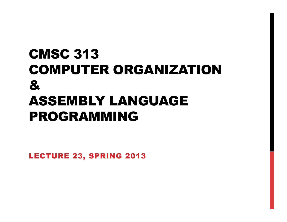### CMSC 313 COMPUTER ORGANIZATION & ASSEMBLY LANGUAGE PROGRAMMING

LECTURE 23, SPRING 2013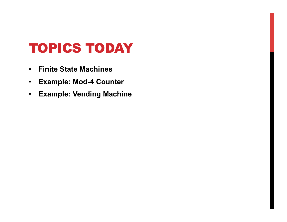#### TOPICS TODAY

- **Finite State Machines**
- **Example: Mod-4 Counter**
- **Example: Vending Machine**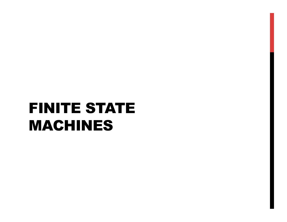# FINITE STATE MACHINES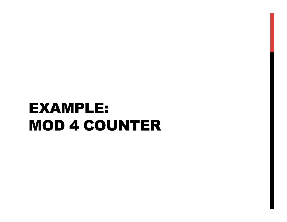# EXAMPLE: MOD 4 COUNTER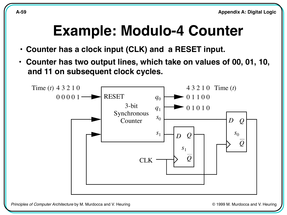#### **Example: Modulo-4 Counter**

- **Counter has a clock input (CLK) and a RESET input.**
- **Counter has two output lines, which take on values of 00, 01, 10, and 11 on subsequent clock cycles.**



Principles of Computer Architecture by M. Murdocca and V. Heuring © 1999 M. Murdocca and V. Heuring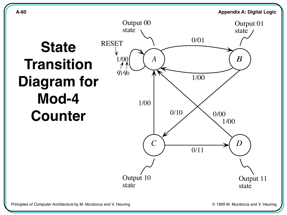

state

state

Principles of Computer Architecture by M. Murdocca and V. Heuring **Computer Architecture by M. Murdocca** and V. Heuring **Principles** of Computer Architecture by M. Murdocca and V. Heuring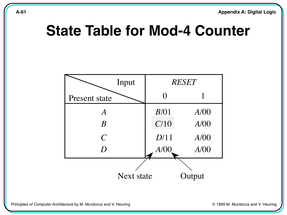#### **State Table for Mod-4 Counter**

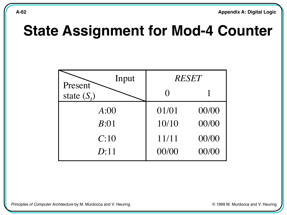#### **State Assignment for Mod-4 Counter**



Principles of Computer Architecture by M. Murdocca and V. Heuring **Computer Architecture by M. Murdocca and V. Heuring**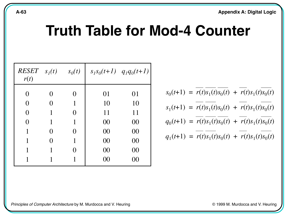#### **Truth Table for Mod-4 Counter**

| $RESET \t s1(t)$<br>r(t) |   | $s_0(t)$ |    | $s_1s_0(t+1)$ $q_1q_0(t+1)$ |
|--------------------------|---|----------|----|-----------------------------|
| 0                        |   |          | 01 | 01                          |
| 0                        | 0 |          | 10 | 10                          |
| 0                        | 1 | 0        | 11 | 11                          |
| 0                        | 1 |          | 00 | 00                          |
|                          |   | 0        | 00 | 00                          |
| 1                        | 0 |          | 00 | 00                          |
|                          |   |          | 00 | 00                          |
|                          |   |          | 00 | I X I                       |

$$
s_0(t+1) = \overline{r(t)} \overline{s_1(t)} \overline{s_0(t)} + \overline{r(t)} s_1(t) \overline{s_0(t)}
$$
  
\n
$$
s_1(t+1) = \overline{r(t)} \overline{s_1(t)} s_0(t) + \overline{r(t)} s_1(t) \overline{s_0(t)}
$$
  
\n
$$
q_0(t+1) = \overline{r(t)} \overline{s_1(t)} \overline{s_0(t)} + \overline{r(t)} s_1(t) \overline{s_0(t)}
$$
  
\n
$$
q_1(t+1) = \overline{r(t)} \overline{s_1(t)} s_0(t) + \overline{r(t)} s_1(t) \overline{s_0(t)}
$$

Principles of Computer Architecture by M. Murdocca and V. Heuring **Computer Architecture by M. Murdocca** and V. Heuring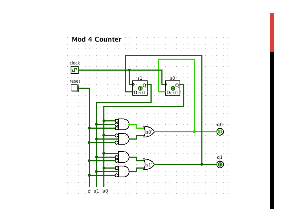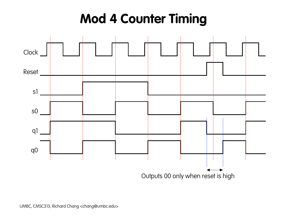## **Mod 4 Counter Timing**

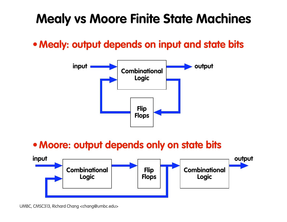### **Mealy vs Moore Finite State Machines**

**•Mealy: output depends on input and state bits**



#### **•Moore: output depends only on state bits**



UMBC, CMSC313, Richard Chang <chang@umbc.edu>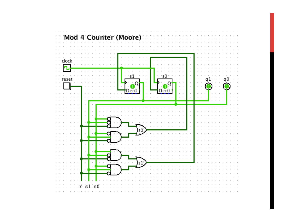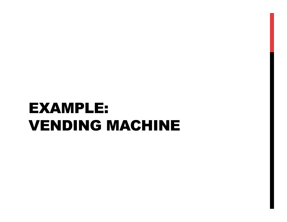# EXAMPLE: VENDING MACHINE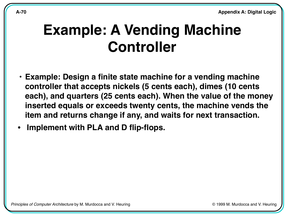#### **Example: A Vending Machine Controller**

- **Example: Design a finite state machine for a vending machine controller that accepts nickels (5 cents each), dimes (10 cents each), and quarters (25 cents each). When the value of the money inserted equals or exceeds twenty cents, the machine vends the item and returns change if any, and waits for next transaction.**
- **• Implement with PLA and D flip-flops.**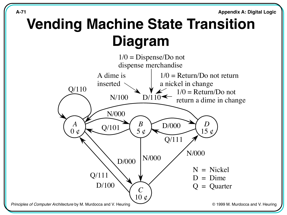### **Vending Machine State Transition Diagram**

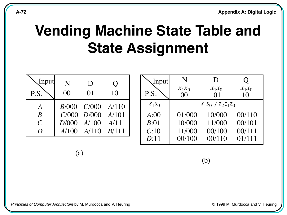### **Vending Machine State Table and State Assignment**

| Input<br>P.S.    | N<br>00 | D<br>01                 | Ő<br>10 |
|------------------|---------|-------------------------|---------|
| A                |         | $B/000$ $C/000$ $A/110$ |         |
| $\boldsymbol{B}$ |         | $C/000$ $D/000$ $A/101$ |         |
| $\overline{C}$   |         | $D/000$ $A/100$ $A/111$ |         |
| D                |         | $A/100$ $A/110$ $B/111$ |         |

| Input    | N                                            | D                      |                            |
|----------|----------------------------------------------|------------------------|----------------------------|
| P.S.     | $\begin{array}{c} x_1 x_0 \\ 00 \end{array}$ | $x_1x_0$<br>$\Omega$ 1 | $x_1x_0$<br>1 <sub>0</sub> |
| $S_1S_0$ |                                              | $S_1S_0$ / $Z_2Z_1Z_0$ |                            |
| A:00     | 01/000                                       | 10/000                 | 00/110                     |
| B:01     | 10/000                                       | 11/000                 | 00/101                     |
| C:10     | 11/000                                       | 00/100                 | 00/111                     |
| D:11     | 00/100                                       | 00/110                 | 01/111                     |

 $(a)$ 

(b)

© 1999 M. Murdocca and V. Heuring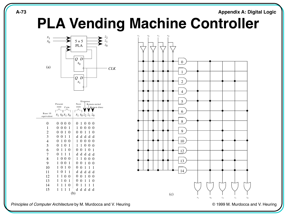#### **A-73 Appendix A: Digital Logic**

#### **PLA Vending Machine Controller**



|                       |                          | Dispense              |  |
|-----------------------|--------------------------|-----------------------|--|
|                       | Present                  | Next<br>Return nickel |  |
|                       | state<br>Coin            | state<br>Return dime  |  |
|                       |                          |                       |  |
| Base 10<br>equivalent | $s_1$ $s_0 x_1 x_0$      | $s_1 s_0 z_2 z_1 z_0$ |  |
| 0                     | 0 <sub>0</sub><br>0<br>0 | 0<br>0<br>0<br>1<br>0 |  |
| 1                     | 0<br>0<br>0<br>1         | 1<br>0<br>0<br>0<br>0 |  |
| $\overline{c}$        | 0<br>0<br>0<br>1         | 0<br>0<br>1<br>0<br>1 |  |
| 3                     | 0<br>0<br>1<br>1         | d<br>d<br>d<br>d<br>d |  |
| 4                     | 0<br>1<br>0<br>0         | 1<br>0<br>0<br>0<br>0 |  |
| 5                     | 0<br>1<br>0<br>1         | 0<br>1<br>1<br>0<br>0 |  |
| 6                     | 0<br>0<br>1<br>1         | 0<br>1<br>0<br>0<br>1 |  |
| 7                     | 0<br>1<br>1<br>1         | d<br>d<br>d<br>d<br>d |  |
| 8                     | 1<br>0 <sub>0</sub><br>0 | 1<br>0<br>1<br>0<br>0 |  |
| 9                     | 1<br>0<br>$\theta$<br>1  | 1<br>0<br>0<br>0<br>0 |  |
| 10                    | 0<br>1<br>0<br>1         | 0<br>1<br>1<br>0<br>1 |  |
| 11                    | 0<br>1<br>1<br>1         | d<br>d<br>d<br>d<br>d |  |
| 12                    | 0<br>1<br>1<br>0         | 1<br>0<br>0<br>0<br>0 |  |
| 13                    | 1<br>1<br>0<br>1         | 0<br>1<br>0<br>1<br>0 |  |
| 14                    | 0<br>1<br>1<br>1         | 0<br>1<br>1<br>1<br>1 |  |
| 15                    | 1<br>1<br>1<br>1         | d<br>d<br>d<br>d<br>d |  |
|                       |                          | (b)                   |  |



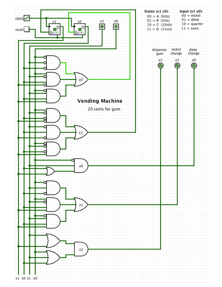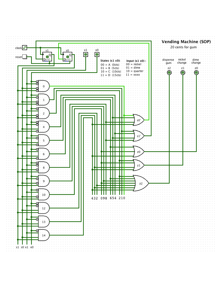